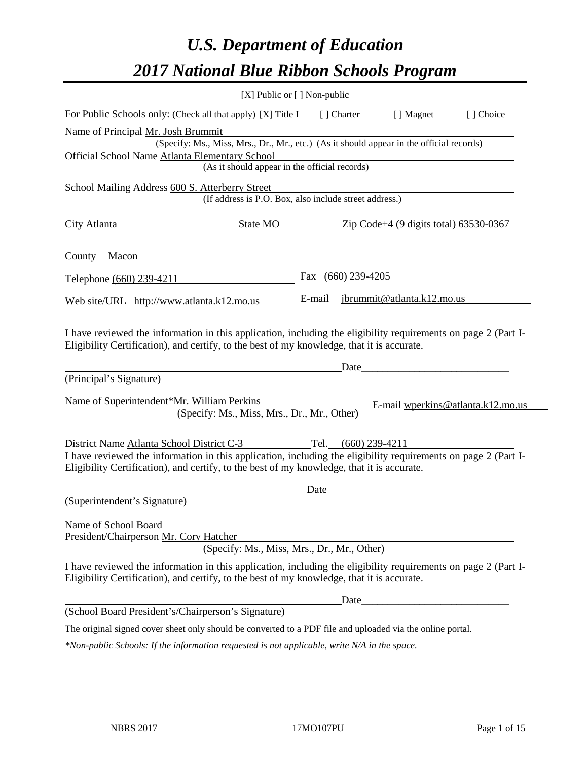# *U.S. Department of Education 2017 National Blue Ribbon Schools Program*

|                                                                                                 | [X] Public or [] Non-public                                                                                                                                                                                                                                                   |        |                      |                                   |           |
|-------------------------------------------------------------------------------------------------|-------------------------------------------------------------------------------------------------------------------------------------------------------------------------------------------------------------------------------------------------------------------------------|--------|----------------------|-----------------------------------|-----------|
|                                                                                                 | For Public Schools only: (Check all that apply) [X] Title I [] Charter                                                                                                                                                                                                        |        |                      | [ ] Magnet                        | [] Choice |
| Name of Principal Mr. Josh Brummit                                                              |                                                                                                                                                                                                                                                                               |        |                      |                                   |           |
|                                                                                                 | (Specify: Ms., Miss, Mrs., Dr., Mr., etc.) (As it should appear in the official records)                                                                                                                                                                                      |        |                      |                                   |           |
| Official School Name Atlanta Elementary School<br>(As it should appear in the official records) |                                                                                                                                                                                                                                                                               |        |                      |                                   |           |
|                                                                                                 | School Mailing Address 600 S. Atterberry Street                                                                                                                                                                                                                               |        |                      |                                   |           |
| (If address is P.O. Box, also include street address.)                                          |                                                                                                                                                                                                                                                                               |        |                      |                                   |           |
| City Atlanta                                                                                    | $\frac{1}{2}$ State MO $\frac{1}{2}$ Zip Code+4 (9 digits total) 63530-0367                                                                                                                                                                                                   |        |                      |                                   |           |
| County Macon                                                                                    |                                                                                                                                                                                                                                                                               |        |                      |                                   |           |
|                                                                                                 | Telephone (660) 239-4211                                                                                                                                                                                                                                                      |        | Fax $(660)$ 239-4205 |                                   |           |
|                                                                                                 | Web site/URL http://www.atlanta.k12.mo.us                                                                                                                                                                                                                                     | E-mail |                      | jbrummit@atlanta.k12.mo.us        |           |
| (Principal's Signature)                                                                         | Eligibility Certification), and certify, to the best of my knowledge, that it is accurate.<br>Name of Superintendent*Mr. William Perkins                                                                                                                                      |        | Date                 | E-mail wperkins@atlanta.k12.mo.us |           |
|                                                                                                 | (Specify: Ms., Miss, Mrs., Dr., Mr., Other)                                                                                                                                                                                                                                   |        |                      |                                   |           |
|                                                                                                 | District Name Atlanta School District C-3 Tel. (660) 239-4211<br>I have reviewed the information in this application, including the eligibility requirements on page 2 (Part I-<br>Eligibility Certification), and certify, to the best of my knowledge, that it is accurate. |        |                      |                                   |           |
|                                                                                                 |                                                                                                                                                                                                                                                                               | Date   |                      |                                   |           |
| (Superintendent's Signature)                                                                    |                                                                                                                                                                                                                                                                               |        |                      |                                   |           |
| Name of School Board                                                                            | President/Chairperson Mr. Cory Hatcher<br>(Specify: Ms., Miss, Mrs., Dr., Mr., Other)                                                                                                                                                                                         |        |                      |                                   |           |
|                                                                                                 | I have reviewed the information in this application, including the eligibility requirements on page 2 (Part I-<br>Eligibility Certification), and certify, to the best of my knowledge, that it is accurate.                                                                  |        |                      |                                   |           |
|                                                                                                 |                                                                                                                                                                                                                                                                               |        | Date                 |                                   |           |
|                                                                                                 | (School Board President's/Chairperson's Signature)                                                                                                                                                                                                                            |        |                      |                                   |           |
|                                                                                                 | The original signed cover sheet only should be converted to a PDF file and uploaded via the online portal.                                                                                                                                                                    |        |                      |                                   |           |
|                                                                                                 |                                                                                                                                                                                                                                                                               |        |                      |                                   |           |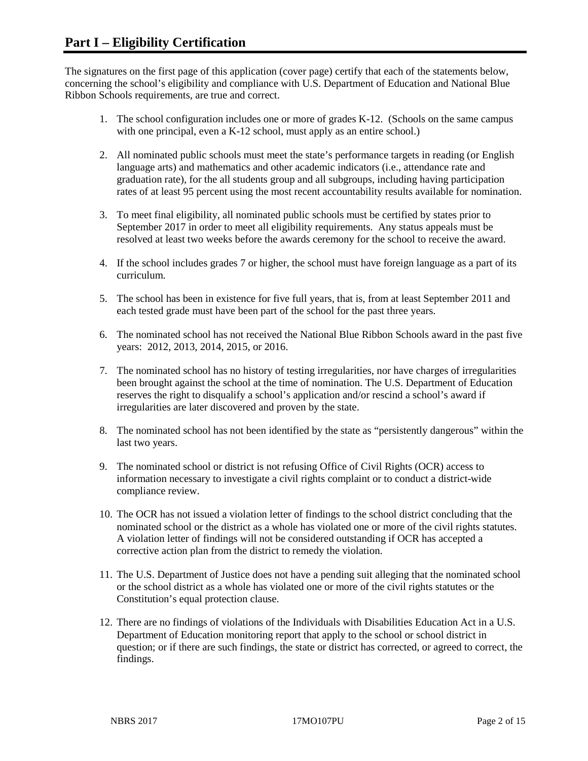The signatures on the first page of this application (cover page) certify that each of the statements below, concerning the school's eligibility and compliance with U.S. Department of Education and National Blue Ribbon Schools requirements, are true and correct.

- 1. The school configuration includes one or more of grades K-12. (Schools on the same campus with one principal, even a K-12 school, must apply as an entire school.)
- 2. All nominated public schools must meet the state's performance targets in reading (or English language arts) and mathematics and other academic indicators (i.e., attendance rate and graduation rate), for the all students group and all subgroups, including having participation rates of at least 95 percent using the most recent accountability results available for nomination.
- 3. To meet final eligibility, all nominated public schools must be certified by states prior to September 2017 in order to meet all eligibility requirements. Any status appeals must be resolved at least two weeks before the awards ceremony for the school to receive the award.
- 4. If the school includes grades 7 or higher, the school must have foreign language as a part of its curriculum.
- 5. The school has been in existence for five full years, that is, from at least September 2011 and each tested grade must have been part of the school for the past three years.
- 6. The nominated school has not received the National Blue Ribbon Schools award in the past five years: 2012, 2013, 2014, 2015, or 2016.
- 7. The nominated school has no history of testing irregularities, nor have charges of irregularities been brought against the school at the time of nomination. The U.S. Department of Education reserves the right to disqualify a school's application and/or rescind a school's award if irregularities are later discovered and proven by the state.
- 8. The nominated school has not been identified by the state as "persistently dangerous" within the last two years.
- 9. The nominated school or district is not refusing Office of Civil Rights (OCR) access to information necessary to investigate a civil rights complaint or to conduct a district-wide compliance review.
- 10. The OCR has not issued a violation letter of findings to the school district concluding that the nominated school or the district as a whole has violated one or more of the civil rights statutes. A violation letter of findings will not be considered outstanding if OCR has accepted a corrective action plan from the district to remedy the violation.
- 11. The U.S. Department of Justice does not have a pending suit alleging that the nominated school or the school district as a whole has violated one or more of the civil rights statutes or the Constitution's equal protection clause.
- 12. There are no findings of violations of the Individuals with Disabilities Education Act in a U.S. Department of Education monitoring report that apply to the school or school district in question; or if there are such findings, the state or district has corrected, or agreed to correct, the findings.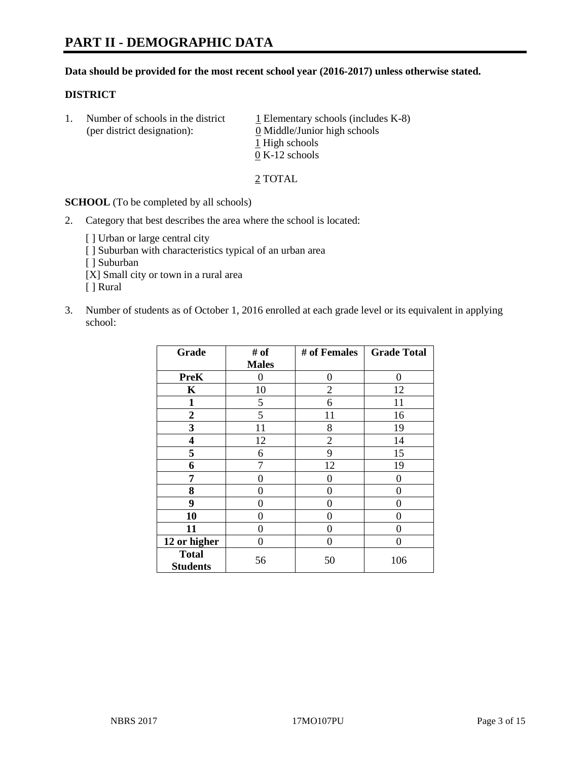#### **Data should be provided for the most recent school year (2016-2017) unless otherwise stated.**

#### **DISTRICT**

1. Number of schools in the district  $1$  Elementary schools (includes K-8) (per district designation): 0 Middle/Junior high schools 1 High schools 0 K-12 schools

2 TOTAL

**SCHOOL** (To be completed by all schools)

- 2. Category that best describes the area where the school is located:
	- [] Urban or large central city [ ] Suburban with characteristics typical of an urban area [ ] Suburban [X] Small city or town in a rural area [ ] Rural
- 3. Number of students as of October 1, 2016 enrolled at each grade level or its equivalent in applying school:

| Grade                           | # of         | # of Females   | <b>Grade Total</b> |
|---------------------------------|--------------|----------------|--------------------|
|                                 | <b>Males</b> |                |                    |
| <b>PreK</b>                     | 0            | 0              | $\theta$           |
| K                               | 10           | $\overline{2}$ | 12                 |
| $\mathbf{1}$                    | 5            | 6              | 11                 |
| $\overline{2}$                  | 5            | 11             | 16                 |
| 3                               | 11           | 8              | 19                 |
| 4                               | 12           | $\overline{2}$ | 14                 |
| 5                               | 6            | 9              | 15                 |
| 6                               | 7            | 12             | 19                 |
| 7                               | 0            | 0              | 0                  |
| 8                               | 0            | $\theta$       | 0                  |
| 9                               | 0            | 0              | 0                  |
| 10                              | 0            | 0              | 0                  |
| 11                              | 0            | 0              | 0                  |
| 12 or higher                    | 0            | 0              | 0                  |
| <b>Total</b><br><b>Students</b> | 56           | 50             | 106                |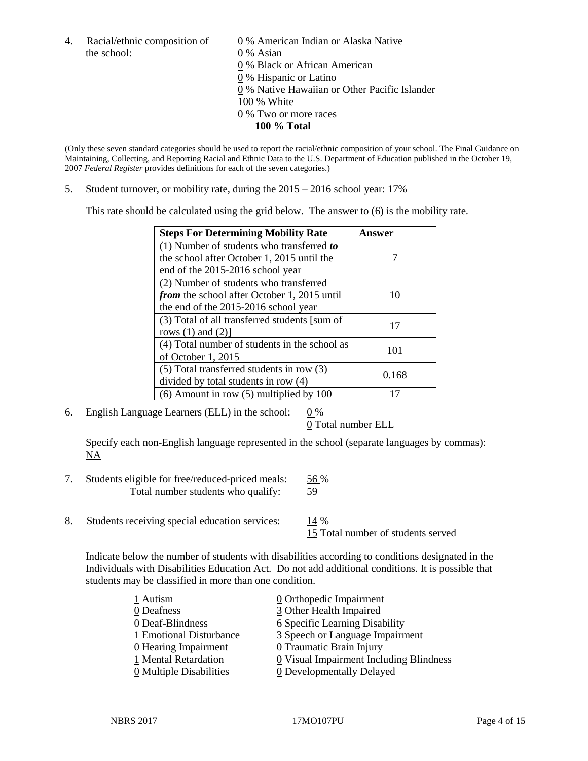the school: 0 % Asian

4. Racial/ethnic composition of  $\qquad 0 \%$  American Indian or Alaska Native

0 % Black or African American

0 % Hispanic or Latino

0 % Native Hawaiian or Other Pacific Islander

100 % White

- 0 % Two or more races
	- **100 % Total**

(Only these seven standard categories should be used to report the racial/ethnic composition of your school. The Final Guidance on Maintaining, Collecting, and Reporting Racial and Ethnic Data to the U.S. Department of Education published in the October 19, 2007 *Federal Register* provides definitions for each of the seven categories.)

5. Student turnover, or mobility rate, during the 2015 – 2016 school year: 17%

This rate should be calculated using the grid below. The answer to (6) is the mobility rate.

| <b>Steps For Determining Mobility Rate</b>    | Answer |
|-----------------------------------------------|--------|
| $(1)$ Number of students who transferred to   |        |
| the school after October 1, 2015 until the    |        |
| end of the 2015-2016 school year              |        |
| (2) Number of students who transferred        |        |
| from the school after October 1, 2015 until   | 10     |
| the end of the 2015-2016 school year          |        |
| (3) Total of all transferred students [sum of | 17     |
| rows $(1)$ and $(2)$ ]                        |        |
| (4) Total number of students in the school as | 101    |
| of October 1, 2015                            |        |
| (5) Total transferred students in row (3)     |        |
| divided by total students in row (4)          | 0.168  |
| $(6)$ Amount in row $(5)$ multiplied by 100   |        |

6. English Language Learners (ELL) in the school:  $0\%$ 

0 Total number ELL

Specify each non-English language represented in the school (separate languages by commas): NA

- 7. Students eligible for free/reduced-priced meals: 56 % Total number students who qualify: 59
- 8. Students receiving special education services: 14 %

15 Total number of students served

Indicate below the number of students with disabilities according to conditions designated in the Individuals with Disabilities Education Act. Do not add additional conditions. It is possible that students may be classified in more than one condition.

| 1 Autism                              | $\underline{0}$ Orthopedic Impairment   |
|---------------------------------------|-----------------------------------------|
| 0 Deafness                            | 3 Other Health Impaired                 |
| 0 Deaf-Blindness                      | 6 Specific Learning Disability          |
| 1 Emotional Disturbance               | 3 Speech or Language Impairment         |
| 0 Hearing Impairment                  | 0 Traumatic Brain Injury                |
| 1 Mental Retardation                  | 0 Visual Impairment Including Blindness |
| $\underline{0}$ Multiple Disabilities | <b>0</b> Developmentally Delayed        |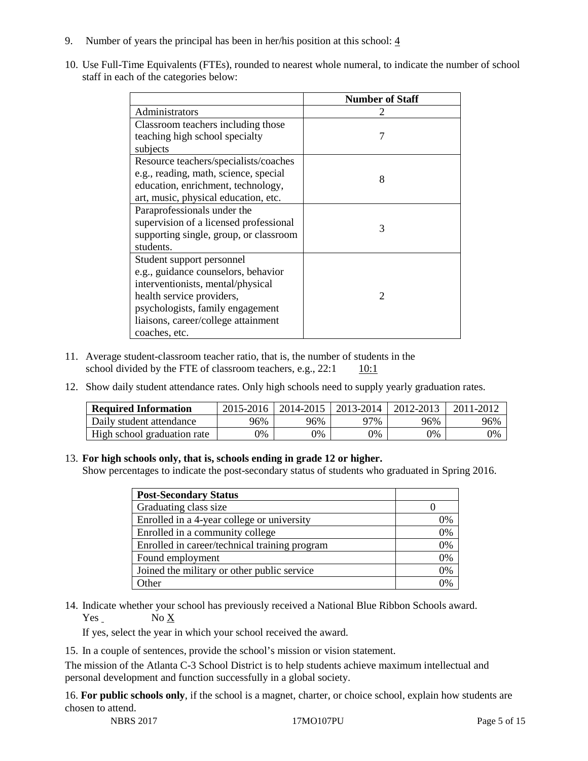- 9. Number of years the principal has been in her/his position at this school:  $\frac{4}{3}$
- 10. Use Full-Time Equivalents (FTEs), rounded to nearest whole numeral, to indicate the number of school staff in each of the categories below:

|                                        | <b>Number of Staff</b>      |  |  |
|----------------------------------------|-----------------------------|--|--|
| Administrators                         |                             |  |  |
| Classroom teachers including those     |                             |  |  |
| teaching high school specialty         | 7                           |  |  |
| subjects                               |                             |  |  |
| Resource teachers/specialists/coaches  |                             |  |  |
| e.g., reading, math, science, special  | 8                           |  |  |
| education, enrichment, technology,     |                             |  |  |
| art, music, physical education, etc.   |                             |  |  |
| Paraprofessionals under the            |                             |  |  |
| supervision of a licensed professional | 3                           |  |  |
| supporting single, group, or classroom |                             |  |  |
| students.                              |                             |  |  |
| Student support personnel              |                             |  |  |
| e.g., guidance counselors, behavior    |                             |  |  |
| interventionists, mental/physical      |                             |  |  |
| health service providers,              | $\mathcal{D}_{\mathcal{L}}$ |  |  |
| psychologists, family engagement       |                             |  |  |
| liaisons, career/college attainment    |                             |  |  |
| coaches, etc.                          |                             |  |  |

- 11. Average student-classroom teacher ratio, that is, the number of students in the school divided by the FTE of classroom teachers, e.g.,  $22:1 \qquad 10:1$
- 12. Show daily student attendance rates. Only high schools need to supply yearly graduation rates.

| <b>Required Information</b> | 2015-2016 | 2014-2015 | 2013-2014 | 2012-2013 |     |
|-----------------------------|-----------|-----------|-----------|-----------|-----|
| Daily student attendance    | 96%       | 96%       | 97%       | 96%       | 96% |
| High school graduation rate | 0%        | 0%        | 0%        | 9%        | 0%  |

#### 13. **For high schools only, that is, schools ending in grade 12 or higher.**

Show percentages to indicate the post-secondary status of students who graduated in Spring 2016.

| <b>Post-Secondary Status</b>                  |    |
|-----------------------------------------------|----|
| Graduating class size                         |    |
| Enrolled in a 4-year college or university    | 0% |
| Enrolled in a community college               | 0% |
| Enrolled in career/technical training program | 0% |
| Found employment                              | 0% |
| Joined the military or other public service   | 0% |
| .)ther                                        |    |

14. Indicate whether your school has previously received a National Blue Ribbon Schools award. Yes No X

If yes, select the year in which your school received the award.

15. In a couple of sentences, provide the school's mission or vision statement.

The mission of the Atlanta C-3 School District is to help students achieve maximum intellectual and personal development and function successfully in a global society.

16. **For public schools only**, if the school is a magnet, charter, or choice school, explain how students are chosen to attend.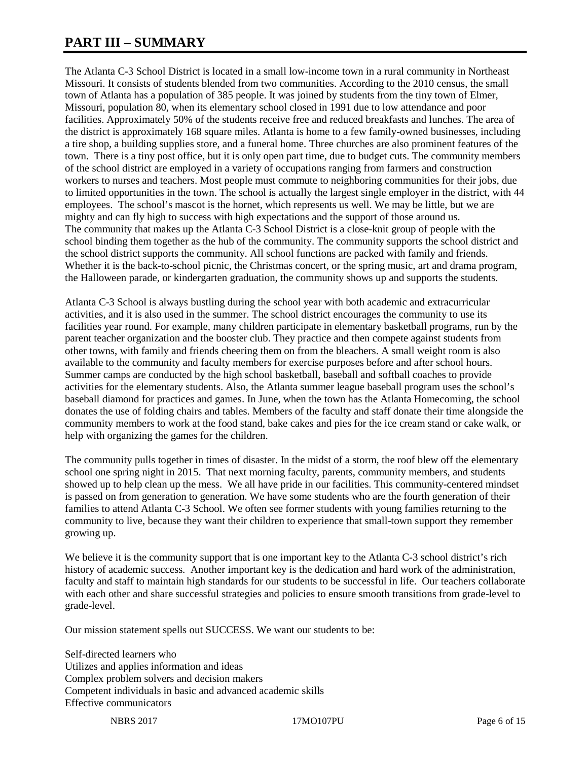# **PART III – SUMMARY**

The Atlanta C-3 School District is located in a small low-income town in a rural community in Northeast Missouri. It consists of students blended from two communities. According to the 2010 census, the small town of Atlanta has a population of 385 people. It was joined by students from the tiny town of Elmer, Missouri, population 80, when its elementary school closed in 1991 due to low attendance and poor facilities. Approximately 50% of the students receive free and reduced breakfasts and lunches. The area of the district is approximately 168 square miles. Atlanta is home to a few family-owned businesses, including a tire shop, a building supplies store, and a funeral home. Three churches are also prominent features of the town. There is a tiny post office, but it is only open part time, due to budget cuts. The community members of the school district are employed in a variety of occupations ranging from farmers and construction workers to nurses and teachers. Most people must commute to neighboring communities for their jobs, due to limited opportunities in the town. The school is actually the largest single employer in the district, with 44 employees. The school's mascot is the hornet, which represents us well. We may be little, but we are mighty and can fly high to success with high expectations and the support of those around us. The community that makes up the Atlanta C-3 School District is a close-knit group of people with the school binding them together as the hub of the community. The community supports the school district and the school district supports the community. All school functions are packed with family and friends. Whether it is the back-to-school picnic, the Christmas concert, or the spring music, art and drama program, the Halloween parade, or kindergarten graduation, the community shows up and supports the students.

Atlanta C-3 School is always bustling during the school year with both academic and extracurricular activities, and it is also used in the summer. The school district encourages the community to use its facilities year round. For example, many children participate in elementary basketball programs, run by the parent teacher organization and the booster club. They practice and then compete against students from other towns, with family and friends cheering them on from the bleachers. A small weight room is also available to the community and faculty members for exercise purposes before and after school hours. Summer camps are conducted by the high school basketball, baseball and softball coaches to provide activities for the elementary students. Also, the Atlanta summer league baseball program uses the school's baseball diamond for practices and games. In June, when the town has the Atlanta Homecoming, the school donates the use of folding chairs and tables. Members of the faculty and staff donate their time alongside the community members to work at the food stand, bake cakes and pies for the ice cream stand or cake walk, or help with organizing the games for the children.

The community pulls together in times of disaster. In the midst of a storm, the roof blew off the elementary school one spring night in 2015. That next morning faculty, parents, community members, and students showed up to help clean up the mess. We all have pride in our facilities. This community-centered mindset is passed on from generation to generation. We have some students who are the fourth generation of their families to attend Atlanta C-3 School. We often see former students with young families returning to the community to live, because they want their children to experience that small-town support they remember growing up.

We believe it is the community support that is one important key to the Atlanta C-3 school district's rich history of academic success. Another important key is the dedication and hard work of the administration, faculty and staff to maintain high standards for our students to be successful in life. Our teachers collaborate with each other and share successful strategies and policies to ensure smooth transitions from grade-level to grade-level.

Our mission statement spells out SUCCESS. We want our students to be:

Self-directed learners who Utilizes and applies information and ideas Complex problem solvers and decision makers Competent individuals in basic and advanced academic skills Effective communicators

NBRS 2017 17MO107PU Page 6 of 15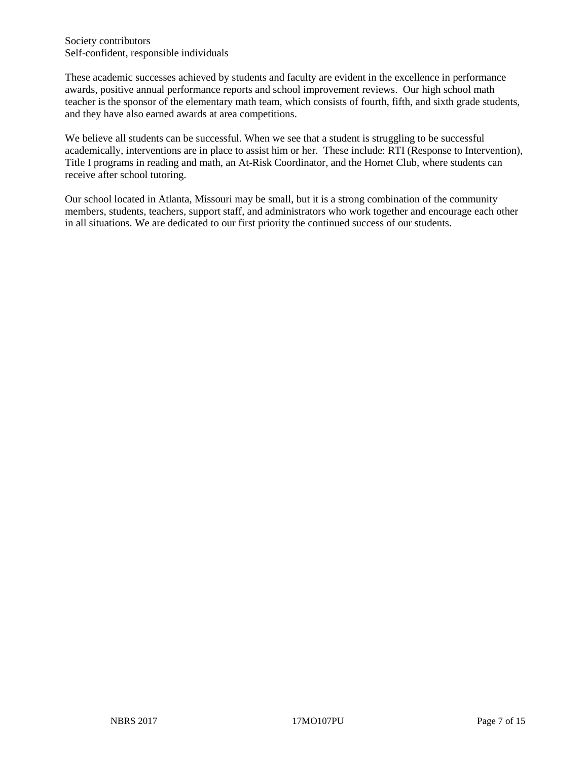Society contributors Self-confident, responsible individuals

These academic successes achieved by students and faculty are evident in the excellence in performance awards, positive annual performance reports and school improvement reviews. Our high school math teacher is the sponsor of the elementary math team, which consists of fourth, fifth, and sixth grade students, and they have also earned awards at area competitions.

We believe all students can be successful. When we see that a student is struggling to be successful academically, interventions are in place to assist him or her. These include: RTI (Response to Intervention), Title I programs in reading and math, an At-Risk Coordinator, and the Hornet Club, where students can receive after school tutoring.

Our school located in Atlanta, Missouri may be small, but it is a strong combination of the community members, students, teachers, support staff, and administrators who work together and encourage each other in all situations. We are dedicated to our first priority the continued success of our students.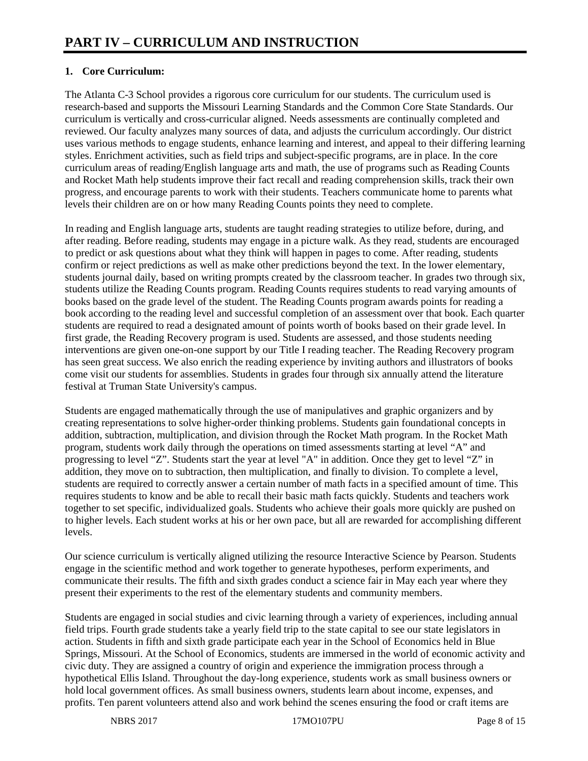# **1. Core Curriculum:**

The Atlanta C-3 School provides a rigorous core curriculum for our students. The curriculum used is research-based and supports the Missouri Learning Standards and the Common Core State Standards. Our curriculum is vertically and cross-curricular aligned. Needs assessments are continually completed and reviewed. Our faculty analyzes many sources of data, and adjusts the curriculum accordingly. Our district uses various methods to engage students, enhance learning and interest, and appeal to their differing learning styles. Enrichment activities, such as field trips and subject-specific programs, are in place. In the core curriculum areas of reading/English language arts and math, the use of programs such as Reading Counts and Rocket Math help students improve their fact recall and reading comprehension skills, track their own progress, and encourage parents to work with their students. Teachers communicate home to parents what levels their children are on or how many Reading Counts points they need to complete.

In reading and English language arts, students are taught reading strategies to utilize before, during, and after reading. Before reading, students may engage in a picture walk. As they read, students are encouraged to predict or ask questions about what they think will happen in pages to come. After reading, students confirm or reject predictions as well as make other predictions beyond the text. In the lower elementary, students journal daily, based on writing prompts created by the classroom teacher. In grades two through six, students utilize the Reading Counts program. Reading Counts requires students to read varying amounts of books based on the grade level of the student. The Reading Counts program awards points for reading a book according to the reading level and successful completion of an assessment over that book. Each quarter students are required to read a designated amount of points worth of books based on their grade level. In first grade, the Reading Recovery program is used. Students are assessed, and those students needing interventions are given one-on-one support by our Title I reading teacher. The Reading Recovery program has seen great success. We also enrich the reading experience by inviting authors and illustrators of books come visit our students for assemblies. Students in grades four through six annually attend the literature festival at Truman State University's campus.

Students are engaged mathematically through the use of manipulatives and graphic organizers and by creating representations to solve higher-order thinking problems. Students gain foundational concepts in addition, subtraction, multiplication, and division through the Rocket Math program. In the Rocket Math program, students work daily through the operations on timed assessments starting at level "A" and progressing to level "Z". Students start the year at level "A" in addition. Once they get to level "Z" in addition, they move on to subtraction, then multiplication, and finally to division. To complete a level, students are required to correctly answer a certain number of math facts in a specified amount of time. This requires students to know and be able to recall their basic math facts quickly. Students and teachers work together to set specific, individualized goals. Students who achieve their goals more quickly are pushed on to higher levels. Each student works at his or her own pace, but all are rewarded for accomplishing different levels.

Our science curriculum is vertically aligned utilizing the resource Interactive Science by Pearson. Students engage in the scientific method and work together to generate hypotheses, perform experiments, and communicate their results. The fifth and sixth grades conduct a science fair in May each year where they present their experiments to the rest of the elementary students and community members.

Students are engaged in social studies and civic learning through a variety of experiences, including annual field trips. Fourth grade students take a yearly field trip to the state capital to see our state legislators in action. Students in fifth and sixth grade participate each year in the School of Economics held in Blue Springs, Missouri. At the School of Economics, students are immersed in the world of economic activity and civic duty. They are assigned a country of origin and experience the immigration process through a hypothetical Ellis Island. Throughout the day-long experience, students work as small business owners or hold local government offices. As small business owners, students learn about income, expenses, and profits. Ten parent volunteers attend also and work behind the scenes ensuring the food or craft items are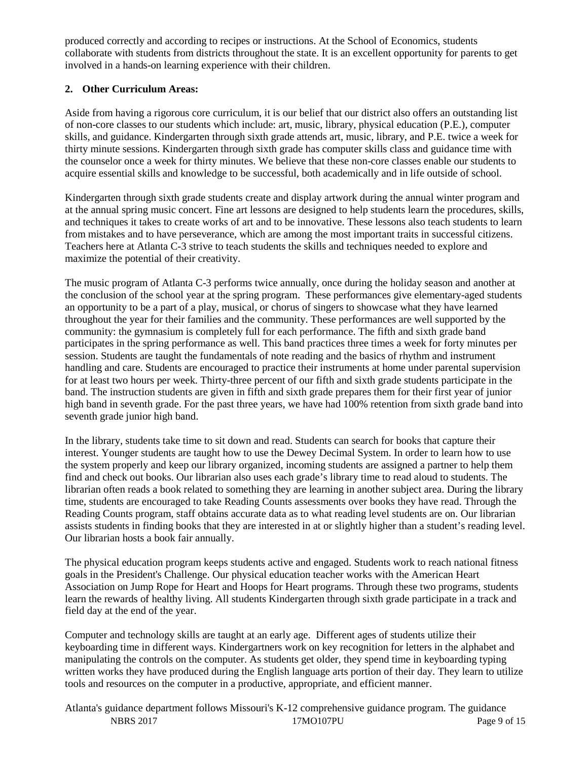produced correctly and according to recipes or instructions. At the School of Economics, students collaborate with students from districts throughout the state. It is an excellent opportunity for parents to get involved in a hands-on learning experience with their children.

## **2. Other Curriculum Areas:**

Aside from having a rigorous core curriculum, it is our belief that our district also offers an outstanding list of non-core classes to our students which include: art, music, library, physical education (P.E.), computer skills, and guidance. Kindergarten through sixth grade attends art, music, library, and P.E. twice a week for thirty minute sessions. Kindergarten through sixth grade has computer skills class and guidance time with the counselor once a week for thirty minutes. We believe that these non-core classes enable our students to acquire essential skills and knowledge to be successful, both academically and in life outside of school.

Kindergarten through sixth grade students create and display artwork during the annual winter program and at the annual spring music concert. Fine art lessons are designed to help students learn the procedures, skills, and techniques it takes to create works of art and to be innovative. These lessons also teach students to learn from mistakes and to have perseverance, which are among the most important traits in successful citizens. Teachers here at Atlanta C-3 strive to teach students the skills and techniques needed to explore and maximize the potential of their creativity.

The music program of Atlanta C-3 performs twice annually, once during the holiday season and another at the conclusion of the school year at the spring program. These performances give elementary-aged students an opportunity to be a part of a play, musical, or chorus of singers to showcase what they have learned throughout the year for their families and the community. These performances are well supported by the community: the gymnasium is completely full for each performance. The fifth and sixth grade band participates in the spring performance as well. This band practices three times a week for forty minutes per session. Students are taught the fundamentals of note reading and the basics of rhythm and instrument handling and care. Students are encouraged to practice their instruments at home under parental supervision for at least two hours per week. Thirty-three percent of our fifth and sixth grade students participate in the band. The instruction students are given in fifth and sixth grade prepares them for their first year of junior high band in seventh grade. For the past three years, we have had 100% retention from sixth grade band into seventh grade junior high band.

In the library, students take time to sit down and read. Students can search for books that capture their interest. Younger students are taught how to use the Dewey Decimal System. In order to learn how to use the system properly and keep our library organized, incoming students are assigned a partner to help them find and check out books. Our librarian also uses each grade's library time to read aloud to students. The librarian often reads a book related to something they are learning in another subject area. During the library time, students are encouraged to take Reading Counts assessments over books they have read. Through the Reading Counts program, staff obtains accurate data as to what reading level students are on. Our librarian assists students in finding books that they are interested in at or slightly higher than a student's reading level. Our librarian hosts a book fair annually.

The physical education program keeps students active and engaged. Students work to reach national fitness goals in the President's Challenge. Our physical education teacher works with the American Heart Association on Jump Rope for Heart and Hoops for Heart programs. Through these two programs, students learn the rewards of healthy living. All students Kindergarten through sixth grade participate in a track and field day at the end of the year.

Computer and technology skills are taught at an early age. Different ages of students utilize their keyboarding time in different ways. Kindergartners work on key recognition for letters in the alphabet and manipulating the controls on the computer. As students get older, they spend time in keyboarding typing written works they have produced during the English language arts portion of their day. They learn to utilize tools and resources on the computer in a productive, appropriate, and efficient manner.

NBRS 2017 **17MO107PU** Page 9 of 15 Atlanta's guidance department follows Missouri's K-12 comprehensive guidance program. The guidance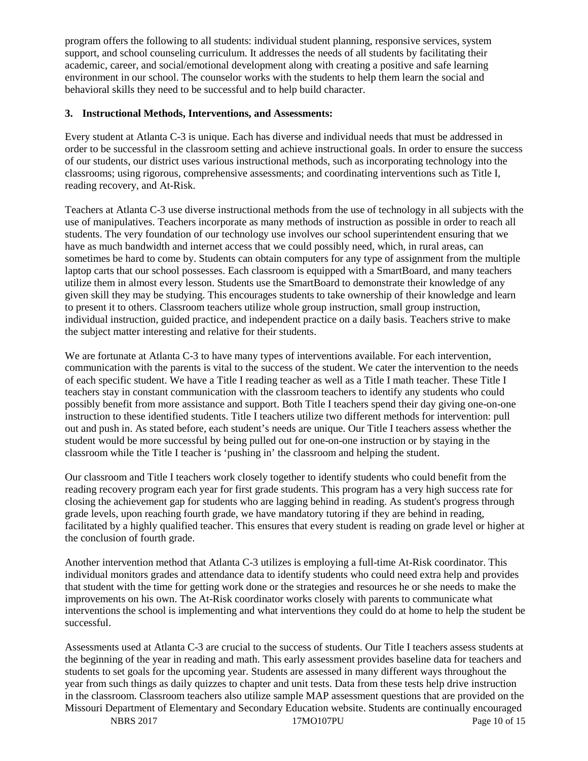program offers the following to all students: individual student planning, responsive services, system support, and school counseling curriculum. It addresses the needs of all students by facilitating their academic, career, and social/emotional development along with creating a positive and safe learning environment in our school. The counselor works with the students to help them learn the social and behavioral skills they need to be successful and to help build character.

#### **3. Instructional Methods, Interventions, and Assessments:**

Every student at Atlanta C-3 is unique. Each has diverse and individual needs that must be addressed in order to be successful in the classroom setting and achieve instructional goals. In order to ensure the success of our students, our district uses various instructional methods, such as incorporating technology into the classrooms; using rigorous, comprehensive assessments; and coordinating interventions such as Title I, reading recovery, and At-Risk.

Teachers at Atlanta C-3 use diverse instructional methods from the use of technology in all subjects with the use of manipulatives. Teachers incorporate as many methods of instruction as possible in order to reach all students. The very foundation of our technology use involves our school superintendent ensuring that we have as much bandwidth and internet access that we could possibly need, which, in rural areas, can sometimes be hard to come by. Students can obtain computers for any type of assignment from the multiple laptop carts that our school possesses. Each classroom is equipped with a SmartBoard, and many teachers utilize them in almost every lesson. Students use the SmartBoard to demonstrate their knowledge of any given skill they may be studying. This encourages students to take ownership of their knowledge and learn to present it to others. Classroom teachers utilize whole group instruction, small group instruction, individual instruction, guided practice, and independent practice on a daily basis. Teachers strive to make the subject matter interesting and relative for their students.

We are fortunate at Atlanta C-3 to have many types of interventions available. For each intervention, communication with the parents is vital to the success of the student. We cater the intervention to the needs of each specific student. We have a Title I reading teacher as well as a Title I math teacher. These Title I teachers stay in constant communication with the classroom teachers to identify any students who could possibly benefit from more assistance and support. Both Title I teachers spend their day giving one-on-one instruction to these identified students. Title I teachers utilize two different methods for intervention: pull out and push in. As stated before, each student's needs are unique. Our Title I teachers assess whether the student would be more successful by being pulled out for one-on-one instruction or by staying in the classroom while the Title I teacher is 'pushing in' the classroom and helping the student.

Our classroom and Title I teachers work closely together to identify students who could benefit from the reading recovery program each year for first grade students. This program has a very high success rate for closing the achievement gap for students who are lagging behind in reading. As student's progress through grade levels, upon reaching fourth grade, we have mandatory tutoring if they are behind in reading, facilitated by a highly qualified teacher. This ensures that every student is reading on grade level or higher at the conclusion of fourth grade.

Another intervention method that Atlanta C-3 utilizes is employing a full-time At-Risk coordinator. This individual monitors grades and attendance data to identify students who could need extra help and provides that student with the time for getting work done or the strategies and resources he or she needs to make the improvements on his own. The At-Risk coordinator works closely with parents to communicate what interventions the school is implementing and what interventions they could do at home to help the student be successful.

Assessments used at Atlanta C-3 are crucial to the success of students. Our Title I teachers assess students at the beginning of the year in reading and math. This early assessment provides baseline data for teachers and students to set goals for the upcoming year. Students are assessed in many different ways throughout the year from such things as daily quizzes to chapter and unit tests. Data from these tests help drive instruction in the classroom. Classroom teachers also utilize sample MAP assessment questions that are provided on the Missouri Department of Elementary and Secondary Education website. Students are continually encouraged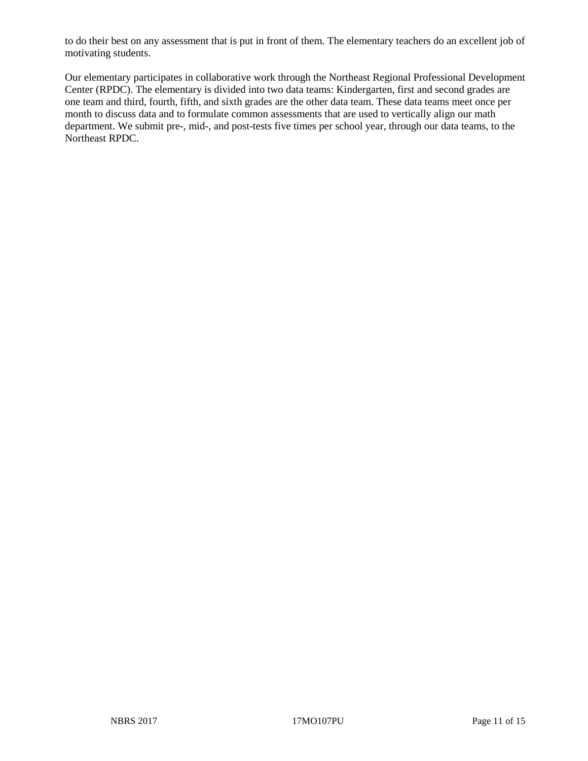to do their best on any assessment that is put in front of them. The elementary teachers do an excellent job of motivating students.

Our elementary participates in collaborative work through the Northeast Regional Professional Development Center (RPDC). The elementary is divided into two data teams: Kindergarten, first and second grades are one team and third, fourth, fifth, and sixth grades are the other data team. These data teams meet once per month to discuss data and to formulate common assessments that are used to vertically align our math department. We submit pre-, mid-, and post-tests five times per school year, through our data teams, to the Northeast RPDC.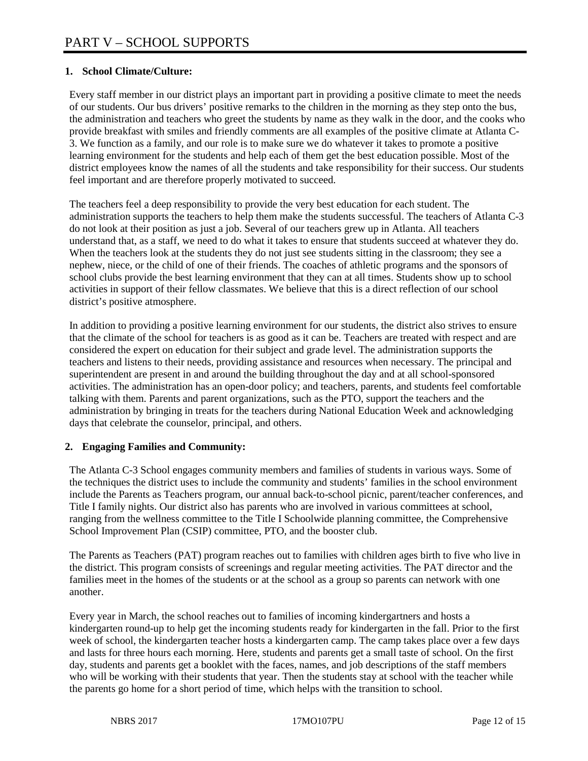# **1. School Climate/Culture:**

Every staff member in our district plays an important part in providing a positive climate to meet the needs of our students. Our bus drivers' positive remarks to the children in the morning as they step onto the bus, the administration and teachers who greet the students by name as they walk in the door, and the cooks who provide breakfast with smiles and friendly comments are all examples of the positive climate at Atlanta C-3. We function as a family, and our role is to make sure we do whatever it takes to promote a positive learning environment for the students and help each of them get the best education possible. Most of the district employees know the names of all the students and take responsibility for their success. Our students feel important and are therefore properly motivated to succeed.

The teachers feel a deep responsibility to provide the very best education for each student. The administration supports the teachers to help them make the students successful. The teachers of Atlanta C-3 do not look at their position as just a job. Several of our teachers grew up in Atlanta. All teachers understand that, as a staff, we need to do what it takes to ensure that students succeed at whatever they do. When the teachers look at the students they do not just see students sitting in the classroom; they see a nephew, niece, or the child of one of their friends. The coaches of athletic programs and the sponsors of school clubs provide the best learning environment that they can at all times. Students show up to school activities in support of their fellow classmates. We believe that this is a direct reflection of our school district's positive atmosphere.

In addition to providing a positive learning environment for our students, the district also strives to ensure that the climate of the school for teachers is as good as it can be. Teachers are treated with respect and are considered the expert on education for their subject and grade level. The administration supports the teachers and listens to their needs, providing assistance and resources when necessary. The principal and superintendent are present in and around the building throughout the day and at all school-sponsored activities. The administration has an open-door policy; and teachers, parents, and students feel comfortable talking with them. Parents and parent organizations, such as the PTO, support the teachers and the administration by bringing in treats for the teachers during National Education Week and acknowledging days that celebrate the counselor, principal, and others.

## **2. Engaging Families and Community:**

The Atlanta C-3 School engages community members and families of students in various ways. Some of the techniques the district uses to include the community and students' families in the school environment include the Parents as Teachers program, our annual back-to-school picnic, parent/teacher conferences, and Title I family nights. Our district also has parents who are involved in various committees at school, ranging from the wellness committee to the Title I Schoolwide planning committee, the Comprehensive School Improvement Plan (CSIP) committee, PTO, and the booster club.

The Parents as Teachers (PAT) program reaches out to families with children ages birth to five who live in the district. This program consists of screenings and regular meeting activities. The PAT director and the families meet in the homes of the students or at the school as a group so parents can network with one another.

Every year in March, the school reaches out to families of incoming kindergartners and hosts a kindergarten round-up to help get the incoming students ready for kindergarten in the fall. Prior to the first week of school, the kindergarten teacher hosts a kindergarten camp. The camp takes place over a few days and lasts for three hours each morning. Here, students and parents get a small taste of school. On the first day, students and parents get a booklet with the faces, names, and job descriptions of the staff members who will be working with their students that year. Then the students stay at school with the teacher while the parents go home for a short period of time, which helps with the transition to school.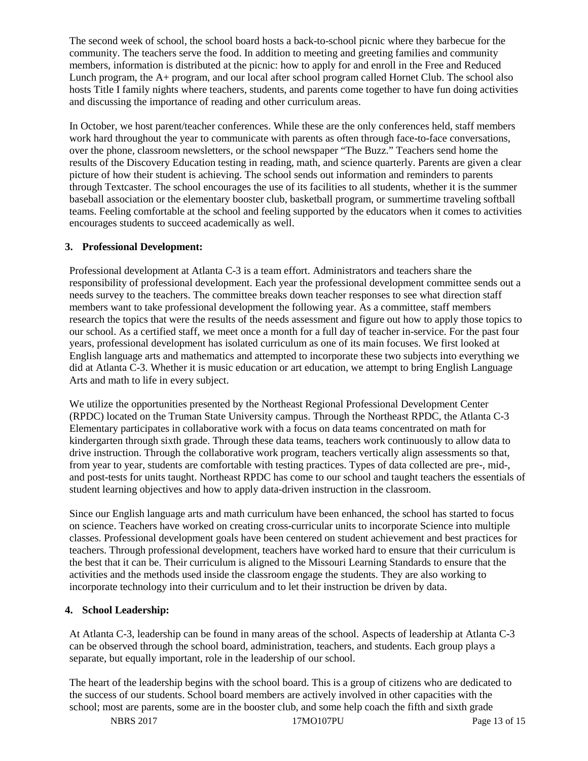The second week of school, the school board hosts a back-to-school picnic where they barbecue for the community. The teachers serve the food. In addition to meeting and greeting families and community members, information is distributed at the picnic: how to apply for and enroll in the Free and Reduced Lunch program, the A+ program, and our local after school program called Hornet Club. The school also hosts Title I family nights where teachers, students, and parents come together to have fun doing activities and discussing the importance of reading and other curriculum areas.

In October, we host parent/teacher conferences. While these are the only conferences held, staff members work hard throughout the year to communicate with parents as often through face-to-face conversations, over the phone, classroom newsletters, or the school newspaper "The Buzz." Teachers send home the results of the Discovery Education testing in reading, math, and science quarterly. Parents are given a clear picture of how their student is achieving. The school sends out information and reminders to parents through Textcaster. The school encourages the use of its facilities to all students, whether it is the summer baseball association or the elementary booster club, basketball program, or summertime traveling softball teams. Feeling comfortable at the school and feeling supported by the educators when it comes to activities encourages students to succeed academically as well.

#### **3. Professional Development:**

Professional development at Atlanta C-3 is a team effort. Administrators and teachers share the responsibility of professional development. Each year the professional development committee sends out a needs survey to the teachers. The committee breaks down teacher responses to see what direction staff members want to take professional development the following year. As a committee, staff members research the topics that were the results of the needs assessment and figure out how to apply those topics to our school. As a certified staff, we meet once a month for a full day of teacher in-service. For the past four years, professional development has isolated curriculum as one of its main focuses. We first looked at English language arts and mathematics and attempted to incorporate these two subjects into everything we did at Atlanta C-3. Whether it is music education or art education, we attempt to bring English Language Arts and math to life in every subject.

We utilize the opportunities presented by the Northeast Regional Professional Development Center (RPDC) located on the Truman State University campus. Through the Northeast RPDC, the Atlanta C-3 Elementary participates in collaborative work with a focus on data teams concentrated on math for kindergarten through sixth grade. Through these data teams, teachers work continuously to allow data to drive instruction. Through the collaborative work program, teachers vertically align assessments so that, from year to year, students are comfortable with testing practices. Types of data collected are pre-, mid-, and post-tests for units taught. Northeast RPDC has come to our school and taught teachers the essentials of student learning objectives and how to apply data-driven instruction in the classroom.

Since our English language arts and math curriculum have been enhanced, the school has started to focus on science. Teachers have worked on creating cross-curricular units to incorporate Science into multiple classes. Professional development goals have been centered on student achievement and best practices for teachers. Through professional development, teachers have worked hard to ensure that their curriculum is the best that it can be. Their curriculum is aligned to the Missouri Learning Standards to ensure that the activities and the methods used inside the classroom engage the students. They are also working to incorporate technology into their curriculum and to let their instruction be driven by data.

## **4. School Leadership:**

At Atlanta C-3, leadership can be found in many areas of the school. Aspects of leadership at Atlanta C-3 can be observed through the school board, administration, teachers, and students. Each group plays a separate, but equally important, role in the leadership of our school.

The heart of the leadership begins with the school board. This is a group of citizens who are dedicated to the success of our students. School board members are actively involved in other capacities with the school; most are parents, some are in the booster club, and some help coach the fifth and sixth grade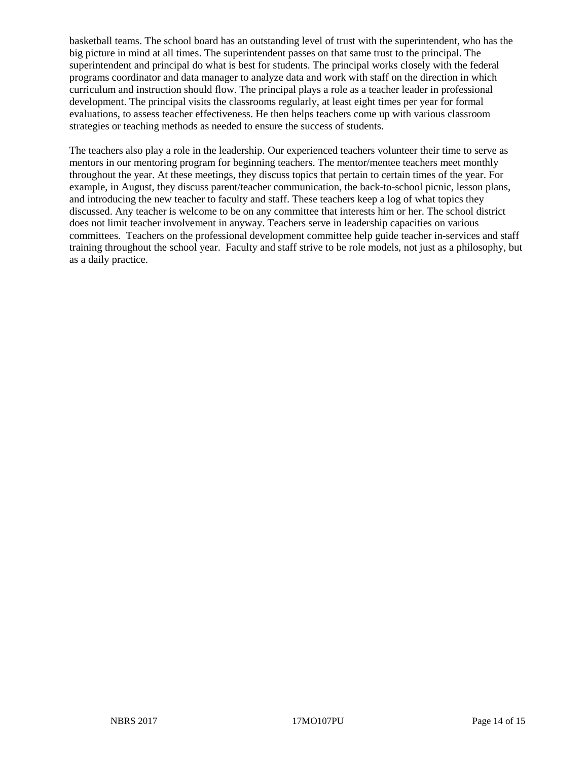basketball teams. The school board has an outstanding level of trust with the superintendent, who has the big picture in mind at all times. The superintendent passes on that same trust to the principal. The superintendent and principal do what is best for students. The principal works closely with the federal programs coordinator and data manager to analyze data and work with staff on the direction in which curriculum and instruction should flow. The principal plays a role as a teacher leader in professional development. The principal visits the classrooms regularly, at least eight times per year for formal evaluations, to assess teacher effectiveness. He then helps teachers come up with various classroom strategies or teaching methods as needed to ensure the success of students.

The teachers also play a role in the leadership. Our experienced teachers volunteer their time to serve as mentors in our mentoring program for beginning teachers. The mentor/mentee teachers meet monthly throughout the year. At these meetings, they discuss topics that pertain to certain times of the year. For example, in August, they discuss parent/teacher communication, the back-to-school picnic, lesson plans, and introducing the new teacher to faculty and staff. These teachers keep a log of what topics they discussed. Any teacher is welcome to be on any committee that interests him or her. The school district does not limit teacher involvement in anyway. Teachers serve in leadership capacities on various committees. Teachers on the professional development committee help guide teacher in-services and staff training throughout the school year. Faculty and staff strive to be role models, not just as a philosophy, but as a daily practice.